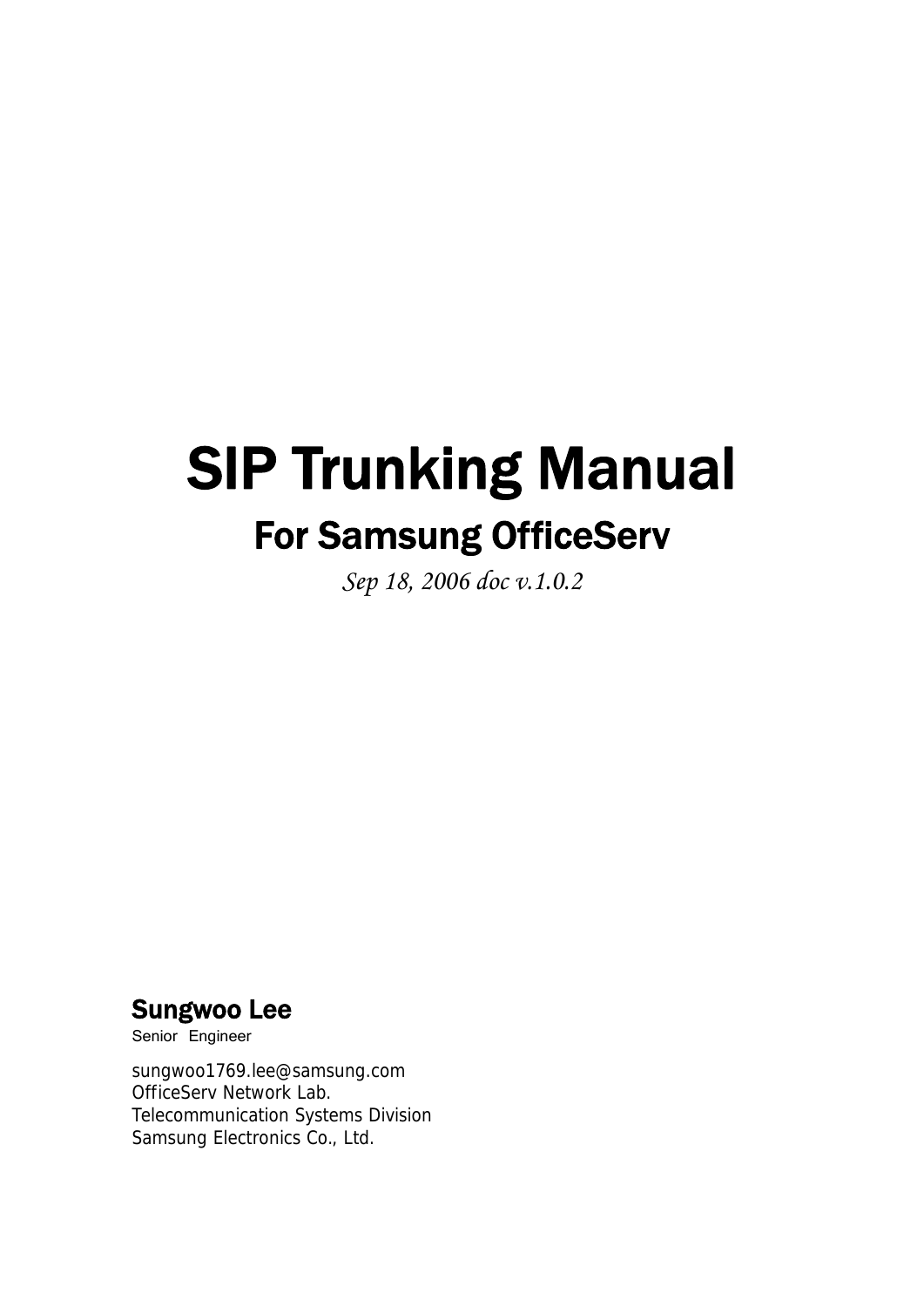# SIP Trunking Manual For Samsung OfficeServ

*Sep 18, 2006 doc v.1.0.2* 

## Sungwoo Lee

Senior Engineer

sungwoo1769.lee@samsung.com OfficeServ Network Lab. Telecommunication Systems Division Samsung Electronics Co., Ltd.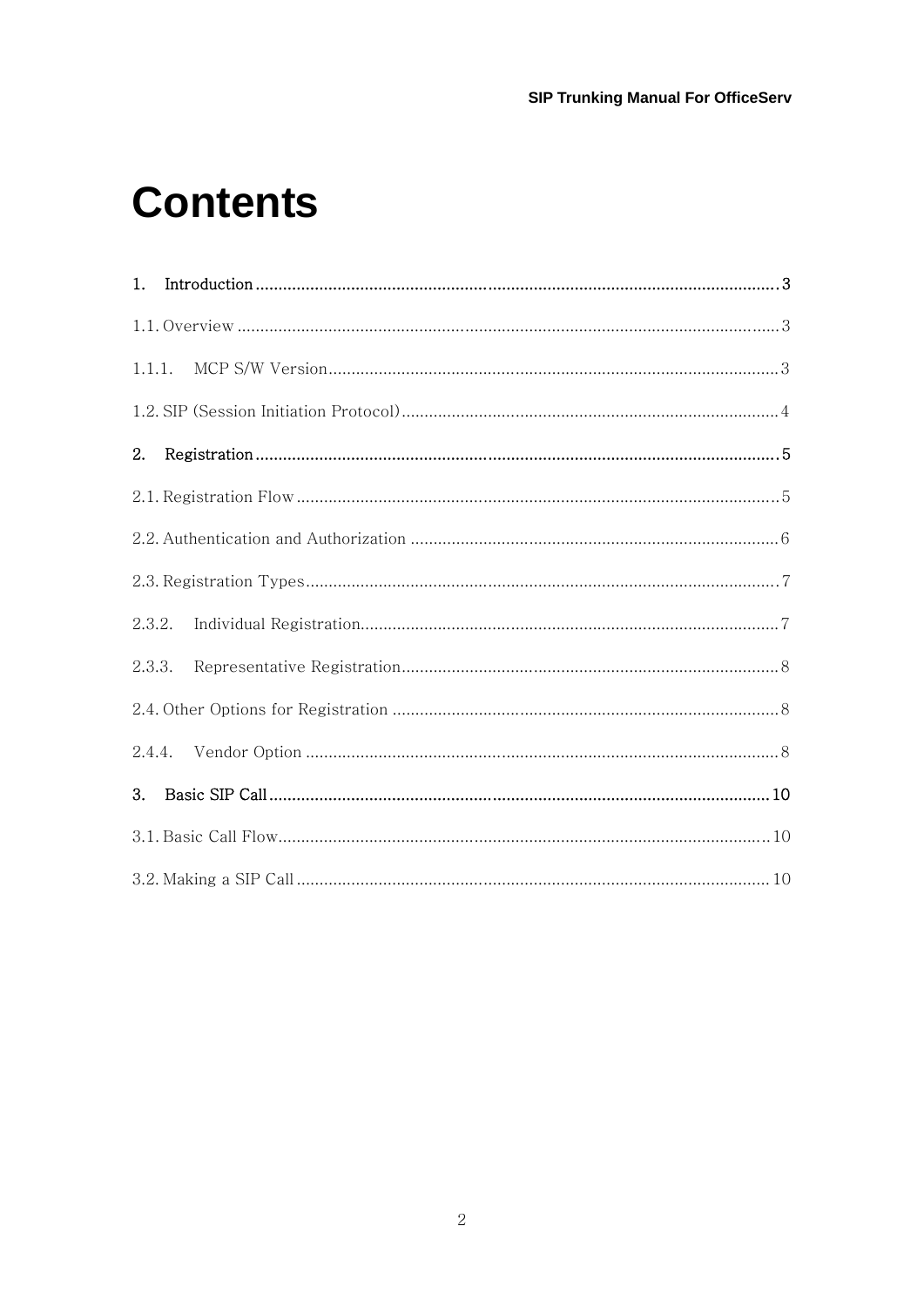## **Contents**

| 1.     |  |  |
|--------|--|--|
|        |  |  |
|        |  |  |
|        |  |  |
| 2.     |  |  |
|        |  |  |
|        |  |  |
|        |  |  |
| 2.3.2. |  |  |
| 2.3.3. |  |  |
|        |  |  |
|        |  |  |
| 3.     |  |  |
|        |  |  |
|        |  |  |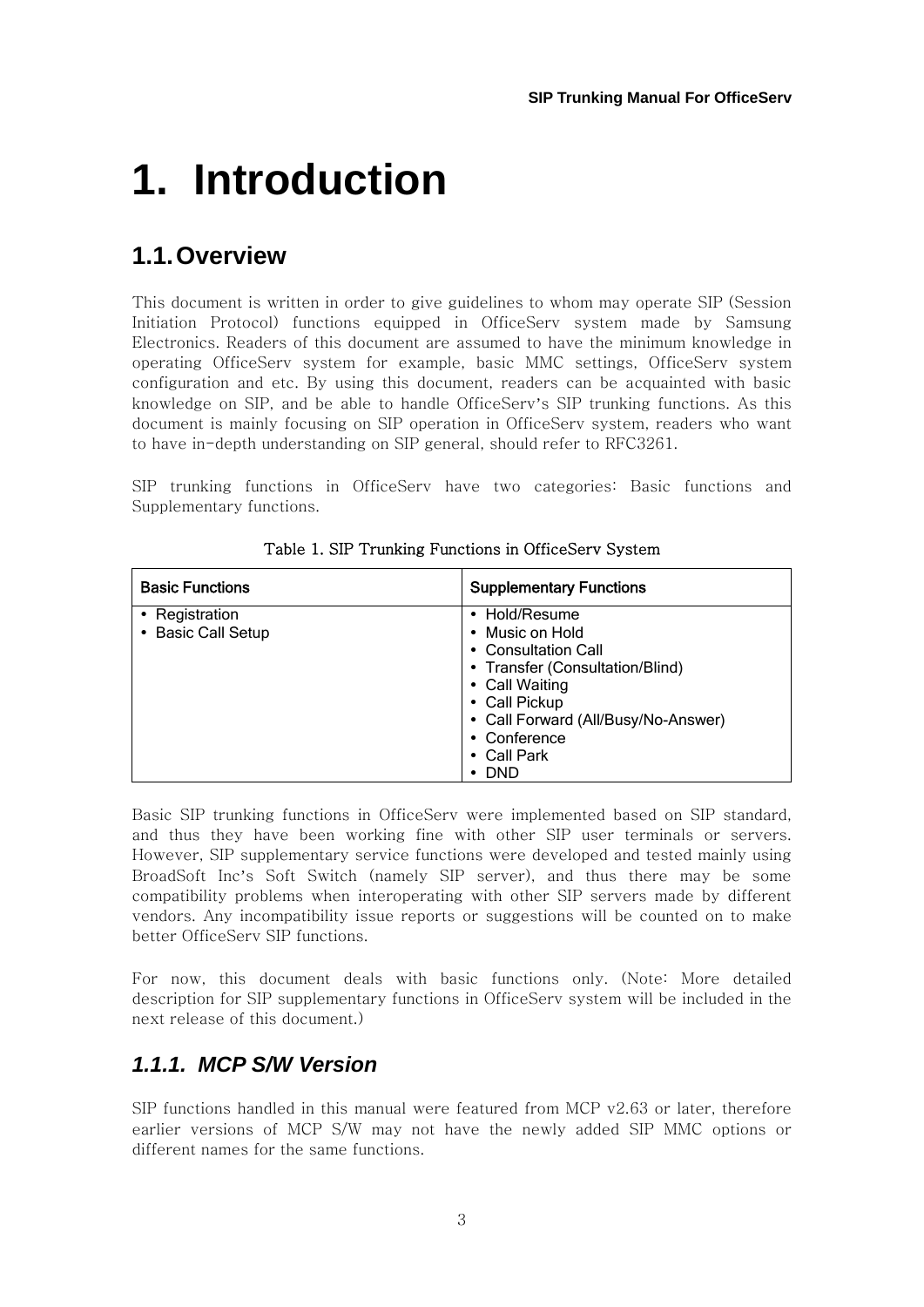# **1. Introduction**

## **1.1. Overview**

This document is written in order to give guidelines to whom may operate SIP (Session Initiation Protocol) functions equipped in OfficeServ system made by Samsung Electronics. Readers of this document are assumed to have the minimum knowledge in operating OfficeServ system for example, basic MMC settings, OfficeServ system configuration and etc. By using this document, readers can be acquainted with basic knowledge on SIP, and be able to handle OfficeServ's SIP trunking functions. As this document is mainly focusing on SIP operation in OfficeServ system, readers who want to have in-depth understanding on SIP general, should refer to RFC3261.

SIP trunking functions in OfficeServ have two categories: Basic functions and Supplementary functions.

| <b>Basic Functions</b> | <b>Supplementary Functions</b>      |
|------------------------|-------------------------------------|
| • Registration         | • Hold/Resume                       |
| • Basic Call Setup     | • Music on Hold                     |
|                        | • Consultation Call                 |
|                        | • Transfer (Consultation/Blind)     |
|                        | • Call Waiting                      |
|                        | • Call Pickup                       |
|                        | • Call Forward (All/Busy/No-Answer) |
|                        | • Conference                        |
|                        | $\bullet$ Call Park                 |
|                        | - DND                               |

Table 1. SIP Trunking Functions in OfficeServ System

Basic SIP trunking functions in OfficeServ were implemented based on SIP standard, and thus they have been working fine with other SIP user terminals or servers. However, SIP supplementary service functions were developed and tested mainly using BroadSoft Inc's Soft Switch (namely SIP server), and thus there may be some compatibility problems when interoperating with other SIP servers made by different vendors. Any incompatibility issue reports or suggestions will be counted on to make better OfficeServ SIP functions.

For now, this document deals with basic functions only. (Note: More detailed description for SIP supplementary functions in OfficeServ system will be included in the next release of this document.)

### *1.1.1. MCP S/W Version*

SIP functions handled in this manual were featured from MCP v2.63 or later, therefore earlier versions of MCP S/W may not have the newly added SIP MMC options or different names for the same functions.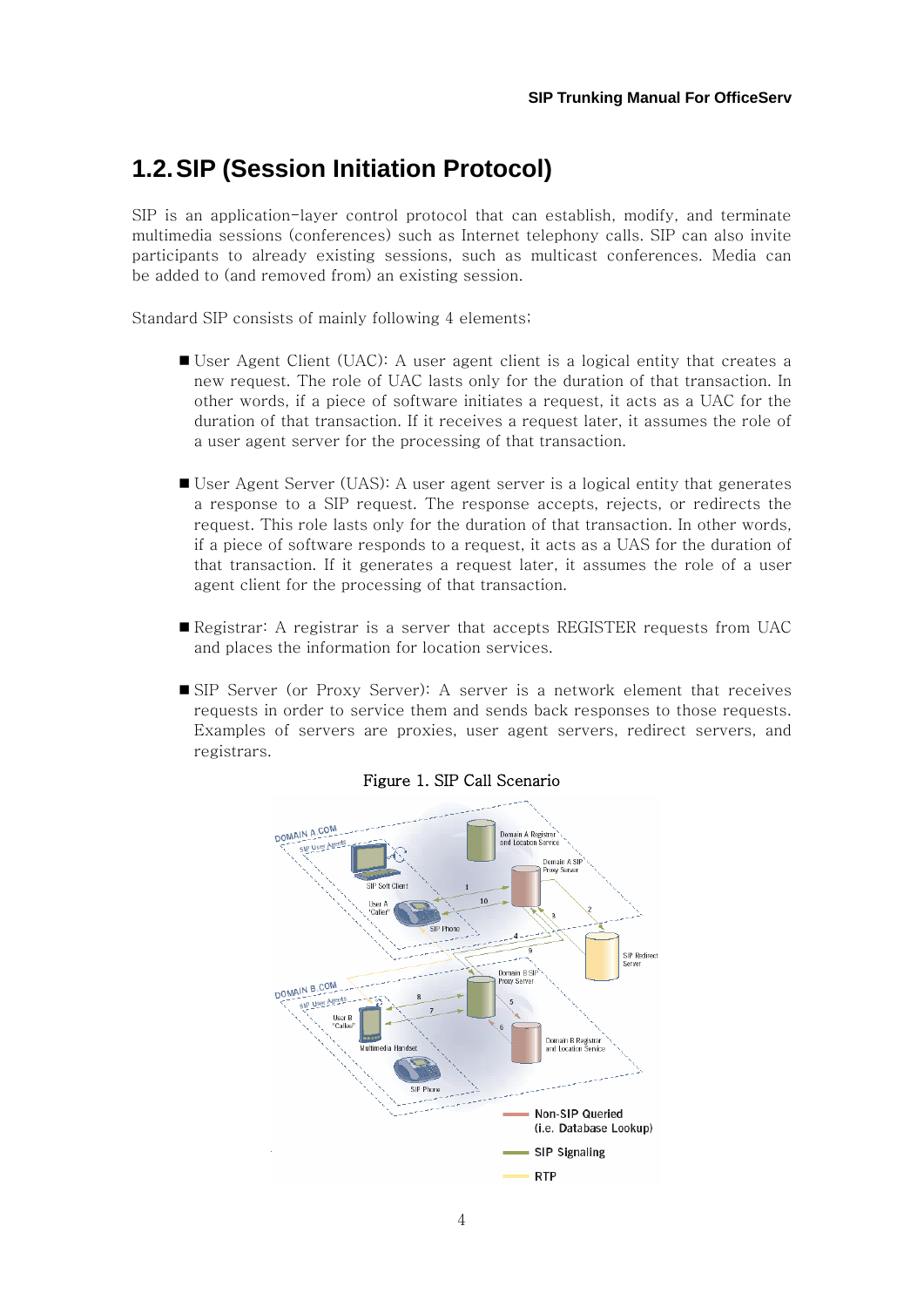## **1.2. SIP (Session Initiation Protocol)**

SIP is an application-layer control protocol that can establish, modify, and terminate multimedia sessions (conferences) such as Internet telephony calls. SIP can also invite participants to already existing sessions, such as multicast conferences. Media can be added to (and removed from) an existing session.

Standard SIP consists of mainly following 4 elements;

- User Agent Client (UAC): A user agent client is a logical entity that creates a new request. The role of UAC lasts only for the duration of that transaction. In other words, if a piece of software initiates a request, it acts as a UAC for the duration of that transaction. If it receives a request later, it assumes the role of a user agent server for the processing of that transaction.
- User Agent Server (UAS): A user agent server is a logical entity that generates a response to a SIP request. The response accepts, rejects, or redirects the request. This role lasts only for the duration of that transaction. In other words, if a piece of software responds to a request, it acts as a UAS for the duration of that transaction. If it generates a request later, it assumes the role of a user agent client for the processing of that transaction.
- Registrar: A registrar is a server that accepts REGISTER requests from UAC and places the information for location services.
- SIP Server (or Proxy Server): A server is a network element that receives requests in order to service them and sends back responses to those requests. Examples of servers are proxies, user agent servers, redirect servers, and registrars.



#### Figure 1. SIP Call Scenario

<sup>4</sup>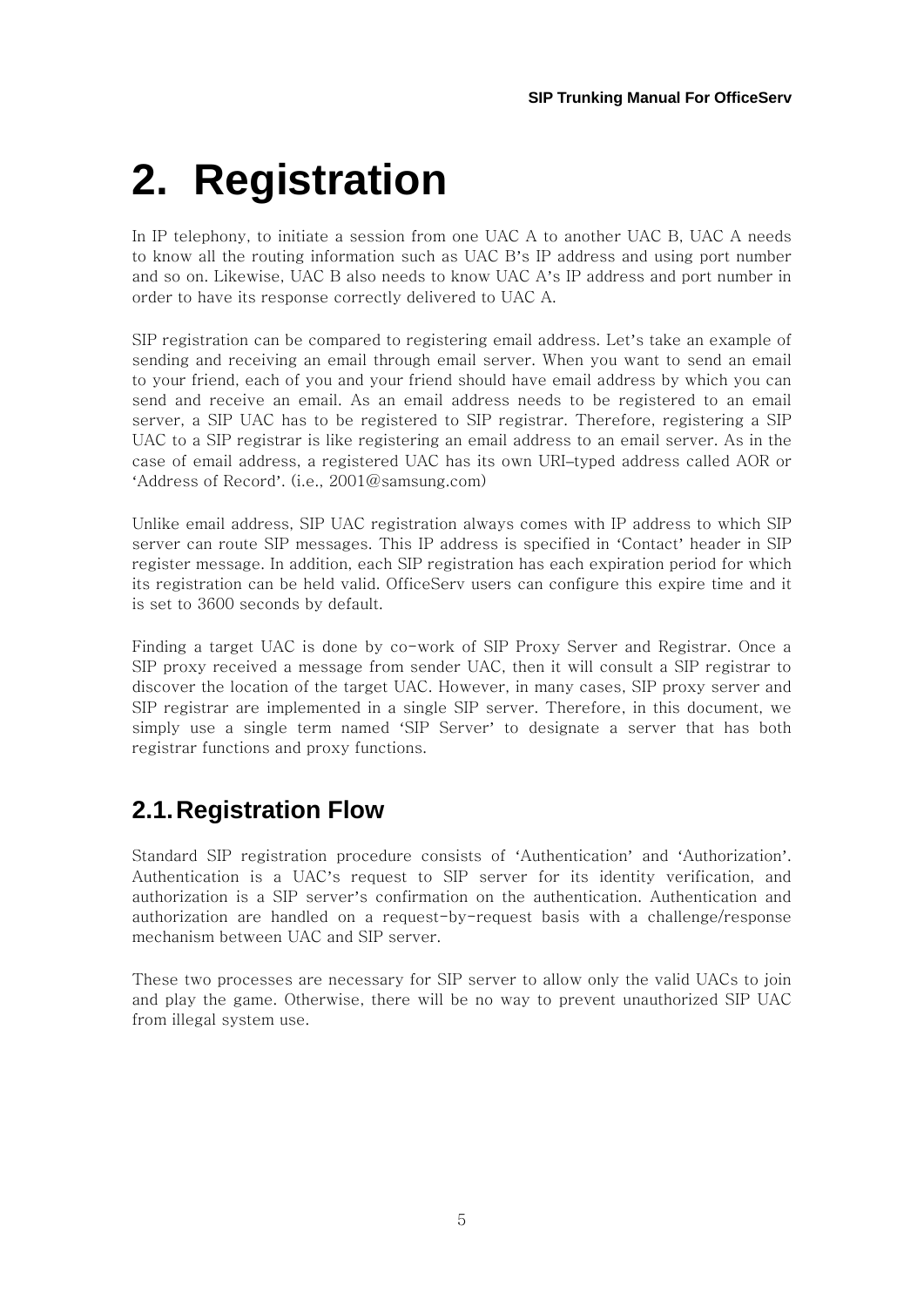# **2. Registration**

In IP telephony, to initiate a session from one UAC A to another UAC B, UAC A needs to know all the routing information such as UAC B's IP address and using port number and so on. Likewise, UAC B also needs to know UAC A's IP address and port number in order to have its response correctly delivered to UAC A.

SIP registration can be compared to registering email address. Let's take an example of sending and receiving an email through email server. When you want to send an email to your friend, each of you and your friend should have email address by which you can send and receive an email. As an email address needs to be registered to an email server, a SIP UAC has to be registered to SIP registrar. Therefore, registering a SIP UAC to a SIP registrar is like registering an email address to an email server. As in the case of email address, a registered UAC has its own URI–typed address called AOR or 'Address of Record'. (i.e., 2001@samsung.com)

Unlike email address, SIP UAC registration always comes with IP address to which SIP server can route SIP messages. This IP address is specified in 'Contact' header in SIP register message. In addition, each SIP registration has each expiration period for which its registration can be held valid. OfficeServ users can configure this expire time and it is set to 3600 seconds by default.

Finding a target UAC is done by co-work of SIP Proxy Server and Registrar. Once a SIP proxy received a message from sender UAC, then it will consult a SIP registrar to discover the location of the target UAC. However, in many cases, SIP proxy server and SIP registrar are implemented in a single SIP server. Therefore, in this document, we simply use a single term named 'SIP Server' to designate a server that has both registrar functions and proxy functions.

## **2.1. Registration Flow**

Standard SIP registration procedure consists of 'Authentication' and 'Authorization'. Authentication is a UAC's request to SIP server for its identity verification, and authorization is a SIP server's confirmation on the authentication. Authentication and authorization are handled on a request-by-request basis with a challenge/response mechanism between UAC and SIP server.

These two processes are necessary for SIP server to allow only the valid UACs to join and play the game. Otherwise, there will be no way to prevent unauthorized SIP UAC from illegal system use.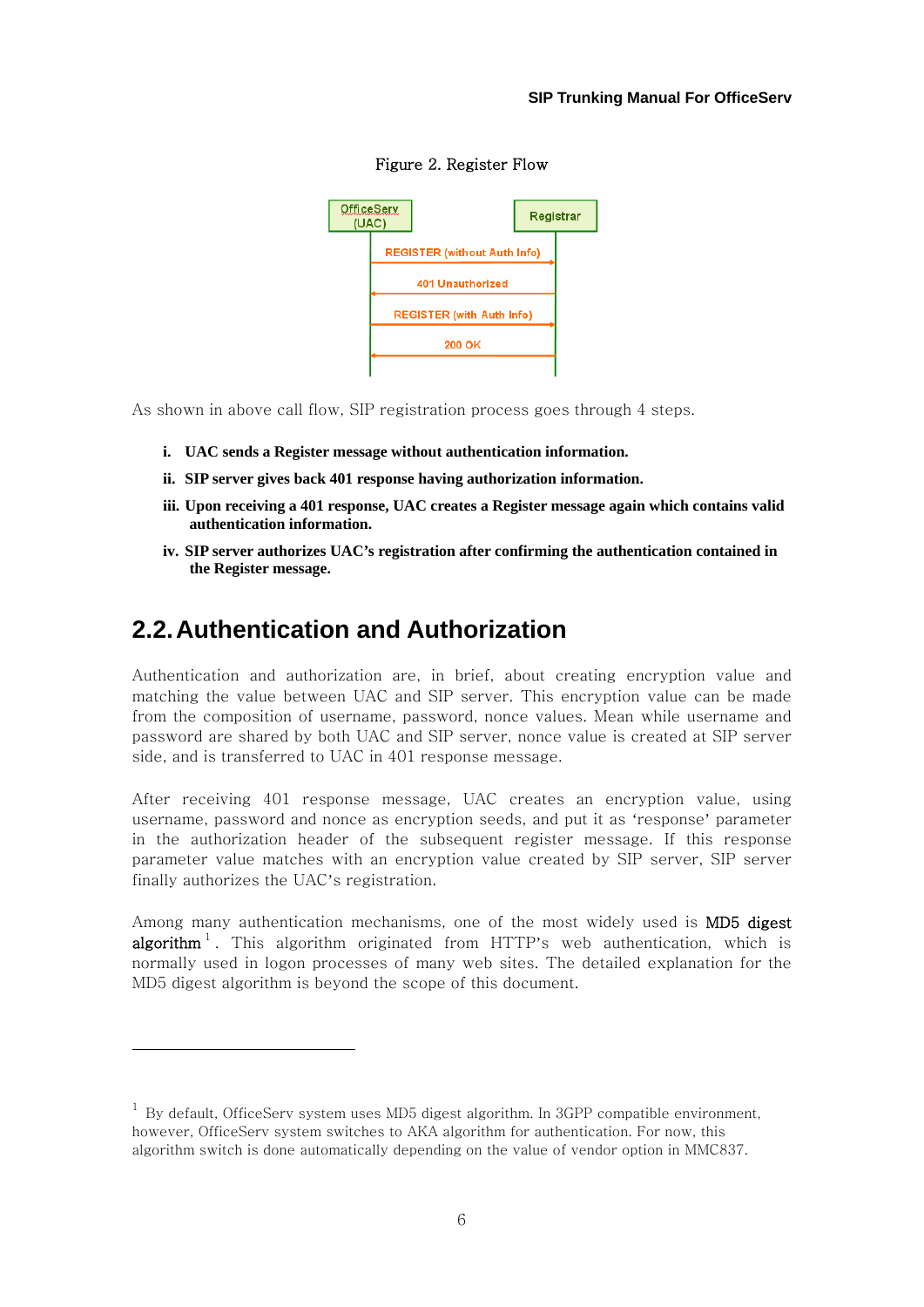

Figure 2. Register Flow

As shown in above call flow, SIP registration process goes through 4 steps.

- **i. UAC sends a Register message without authentication information.**
- **ii. SIP server gives back 401 response having authorization information.**
- **iii. Upon receiving a 401 response, UAC creates a Register message again which contains valid authentication information.**
- **iv. SIP server authorizes UAC's registration after confirming the authentication contained in the Register message.**

### **2.2. Authentication and Authorization**

 $\overline{\phantom{a}}$ 

Authentication and authorization are, in brief, about creating encryption value and matching the value between UAC and SIP server. This encryption value can be made from the composition of username, password, nonce values. Mean while username and password are shared by both UAC and SIP server, nonce value is created at SIP server side, and is transferred to UAC in 401 response message.

After receiving 401 response message, UAC creates an encryption value, using username, password and nonce as encryption seeds, and put it as 'response' parameter in the authorization header of the subsequent register message. If this response parameter value matches with an encryption value created by SIP server, SIP server finally authorizes the UAC's registration.

Among many authentication mechanisms, one of the most widely used is **MD5 digest** algorithm<sup>1</sup>. This algorithm originated from HTTP's web authentication, which is normally used in logon processes of many web sites. The detailed explanation for the MD5 digest algorithm is beyond the scope of this document.

 $1$  By default, OfficeServ system uses MD5 digest algorithm. In 3GPP compatible environment, however, OfficeServ system switches to AKA algorithm for authentication. For now, this algorithm switch is done automatically depending on the value of vendor option in MMC837.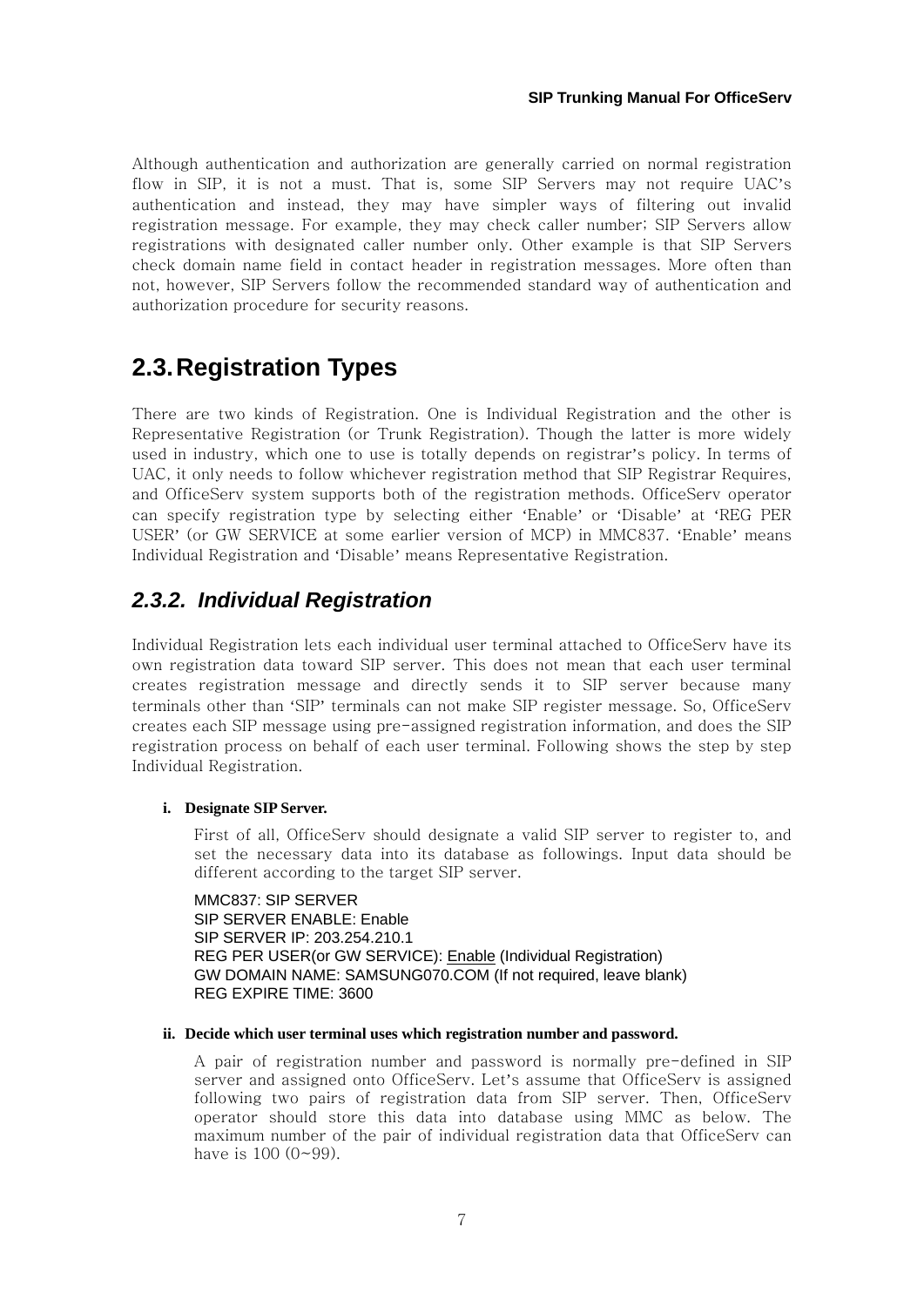Although authentication and authorization are generally carried on normal registration flow in SIP, it is not a must. That is, some SIP Servers may not require UAC's authentication and instead, they may have simpler ways of filtering out invalid registration message. For example, they may check caller number; SIP Servers allow registrations with designated caller number only. Other example is that SIP Servers check domain name field in contact header in registration messages. More often than not, however, SIP Servers follow the recommended standard way of authentication and authorization procedure for security reasons.

## **2.3. Registration Types**

There are two kinds of Registration. One is Individual Registration and the other is Representative Registration (or Trunk Registration). Though the latter is more widely used in industry, which one to use is totally depends on registrar's policy. In terms of UAC, it only needs to follow whichever registration method that SIP Registrar Requires, and OfficeServ system supports both of the registration methods. OfficeServ operator can specify registration type by selecting either 'Enable' or 'Disable' at 'REG PER USER' (or GW SERVICE at some earlier version of MCP) in MMC837. 'Enable' means Individual Registration and 'Disable' means Representative Registration.

### *2.3.2. Individual Registration*

Individual Registration lets each individual user terminal attached to OfficeServ have its own registration data toward SIP server. This does not mean that each user terminal creates registration message and directly sends it to SIP server because many terminals other than 'SIP' terminals can not make SIP register message. So, OfficeServ creates each SIP message using pre-assigned registration information, and does the SIP registration process on behalf of each user terminal. Following shows the step by step Individual Registration.

#### **i. Designate SIP Server.**

First of all, OfficeServ should designate a valid SIP server to register to, and set the necessary data into its database as followings. Input data should be different according to the target SIP server.

MMC837: SIP SERVER SIP SERVER ENABLE: Enable SIP SERVER IP: 203.254.210.1 REG PER USER(or GW SERVICE): Enable (Individual Registration) GW DOMAIN NAME: SAMSUNG070.COM (If not required, leave blank) REG EXPIRE TIME: 3600

#### **ii. Decide which user terminal uses which registration number and password.**

A pair of registration number and password is normally pre-defined in SIP server and assigned onto OfficeServ. Let's assume that OfficeServ is assigned following two pairs of registration data from SIP server. Then, OfficeServ operator should store this data into database using MMC as below. The maximum number of the pair of individual registration data that OfficeServ can have is  $100 (0 - 99)$ .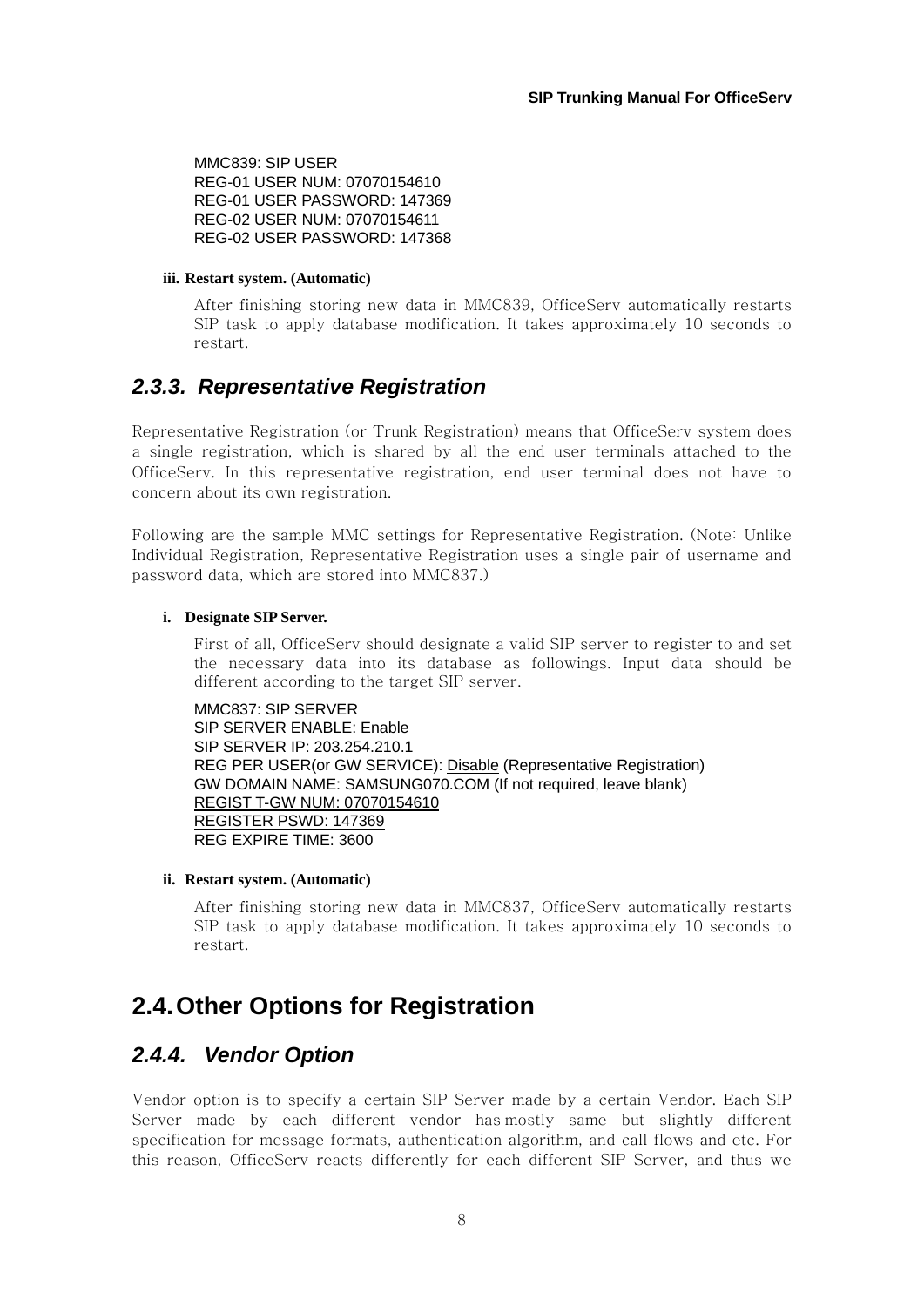MMC839: SIP USER REG-01 USER NUM: 07070154610 REG-01 USER PASSWORD: 147369 REG-02 USER NUM: 07070154611 REG-02 USER PASSWORD: 147368

#### **iii. Restart system. (Automatic)**

After finishing storing new data in MMC839, OfficeServ automatically restarts SIP task to apply database modification. It takes approximately 10 seconds to restart.

### *2.3.3. Representative Registration*

Representative Registration (or Trunk Registration) means that OfficeServ system does a single registration, which is shared by all the end user terminals attached to the OfficeServ. In this representative registration, end user terminal does not have to concern about its own registration.

Following are the sample MMC settings for Representative Registration. (Note: Unlike Individual Registration, Representative Registration uses a single pair of username and password data, which are stored into MMC837.)

#### **i. Designate SIP Server.**

First of all, OfficeServ should designate a valid SIP server to register to and set the necessary data into its database as followings. Input data should be different according to the target SIP server.

MMC837: SIP SERVER SIP SERVER ENABLE: Enable SIP SERVER IP: 203.254.210.1 REG PER USER(or GW SERVICE): Disable (Representative Registration) GW DOMAIN NAME: SAMSUNG070.COM (If not required, leave blank) REGIST T-GW NUM: 07070154610 REGISTER PSWD: 147369 REG EXPIRE TIME: 3600

#### **ii. Restart system. (Automatic)**

After finishing storing new data in MMC837, OfficeServ automatically restarts SIP task to apply database modification. It takes approximately 10 seconds to restart.

## **2.4. Other Options for Registration**

### *2.4.4. Vendor Option*

Vendor option is to specify a certain SIP Server made by a certain Vendor. Each SIP Server made by each different vendor has mostly same but slightly different specification for message formats, authentication algorithm, and call flows and etc. For this reason, OfficeServ reacts differently for each different SIP Server, and thus we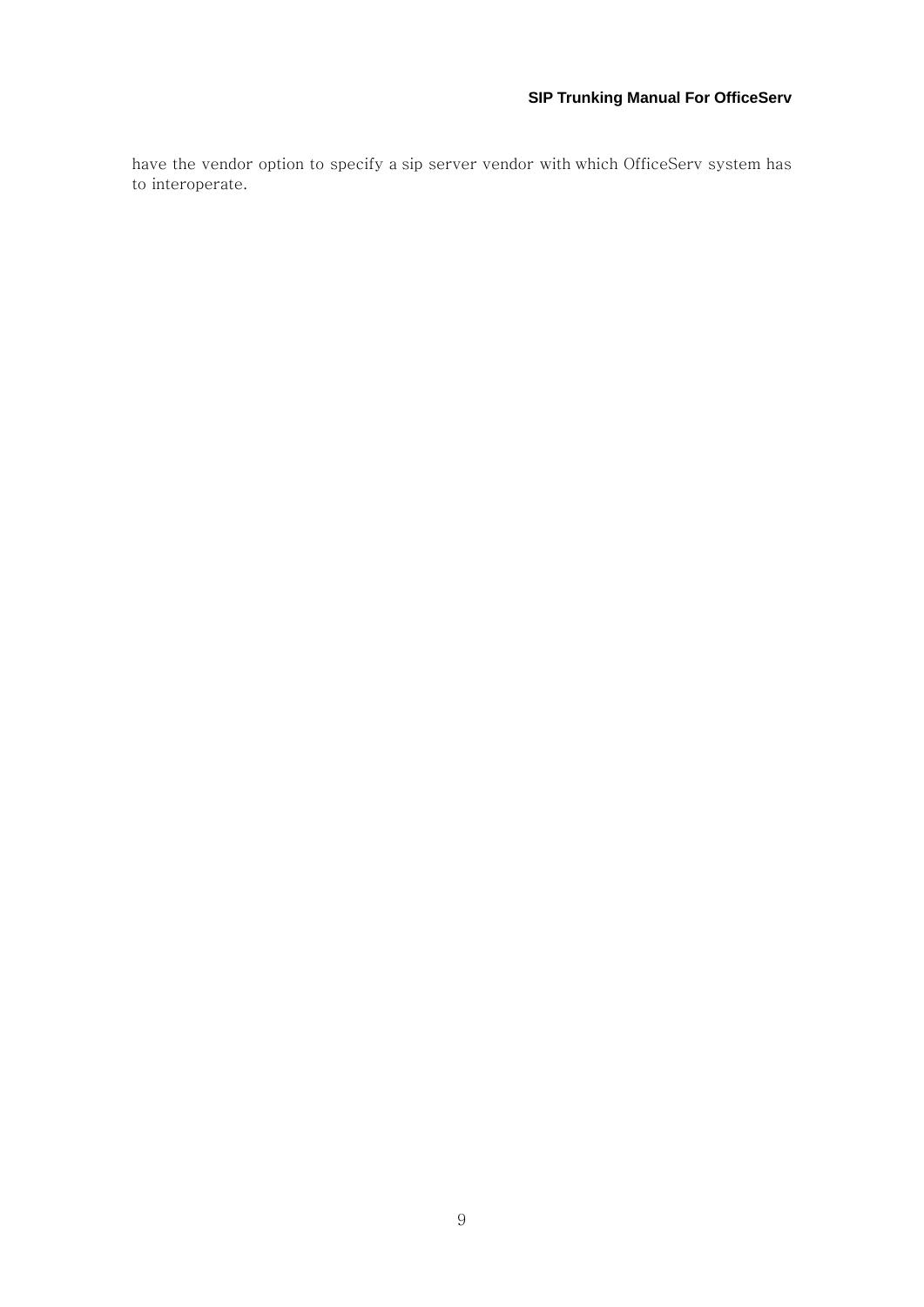have the vendor option to specify a sip server vendor with which OfficeServ system has to interoperate.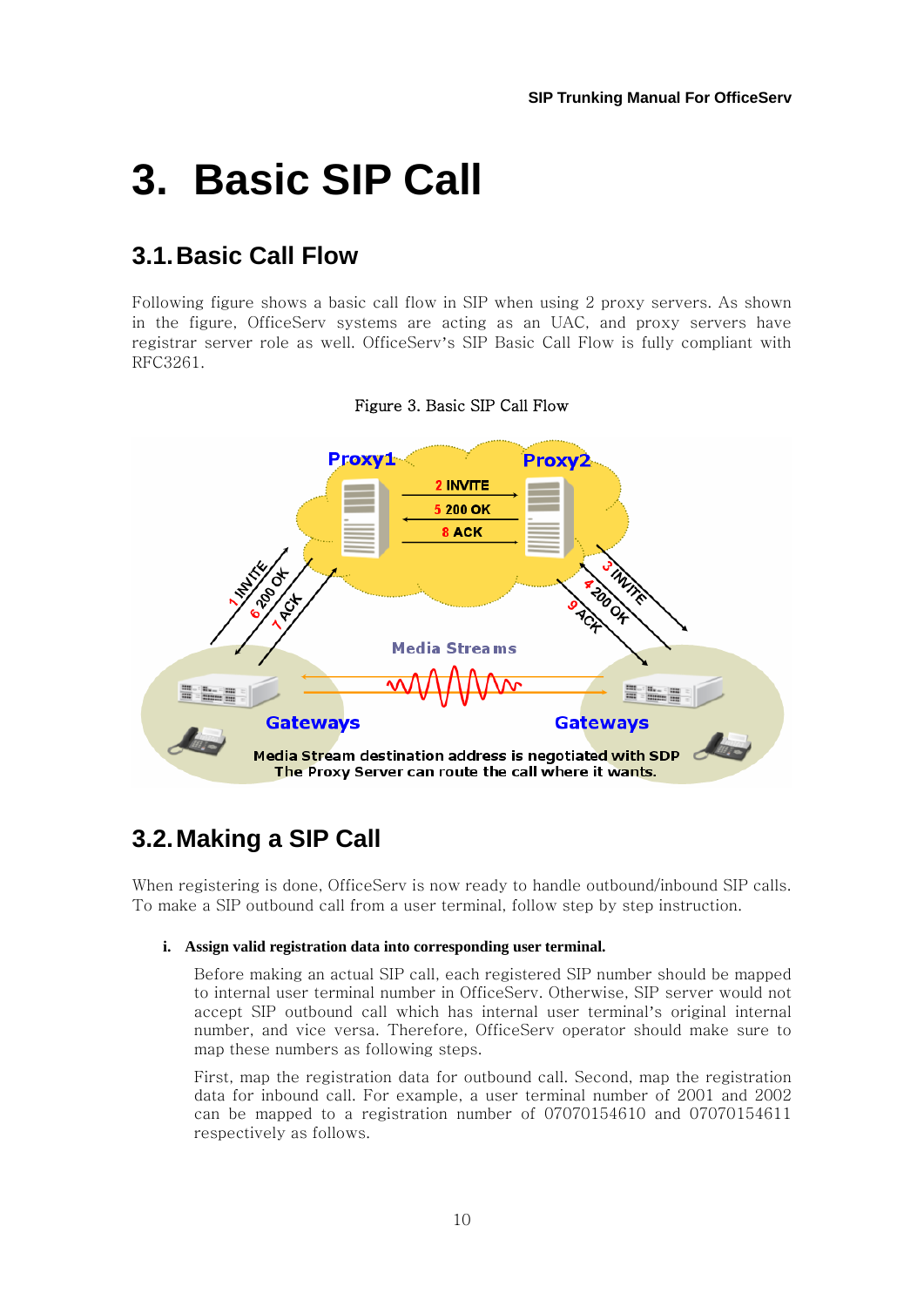# **3. Basic SIP Call**

## **3.1. Basic Call Flow**

Following figure shows a basic call flow in SIP when using 2 proxy servers. As shown in the figure, OfficeServ systems are acting as an UAC, and proxy servers have registrar server role as well. OfficeServ's SIP Basic Call Flow is fully compliant with RFC3261.



#### Figure 3. Basic SIP Call Flow

## **3.2. Making a SIP Call**

When registering is done, OfficeServ is now ready to handle outbound/inbound SIP calls. To make a SIP outbound call from a user terminal, follow step by step instruction.

#### **i. Assign valid registration data into corresponding user terminal.**

Before making an actual SIP call, each registered SIP number should be mapped to internal user terminal number in OfficeServ. Otherwise, SIP server would not accept SIP outbound call which has internal user terminal's original internal number, and vice versa. Therefore, OfficeServ operator should make sure to map these numbers as following steps.

First, map the registration data for outbound call. Second, map the registration data for inbound call. For example, a user terminal number of 2001 and 2002 can be mapped to a registration number of 07070154610 and 07070154611 respectively as follows.